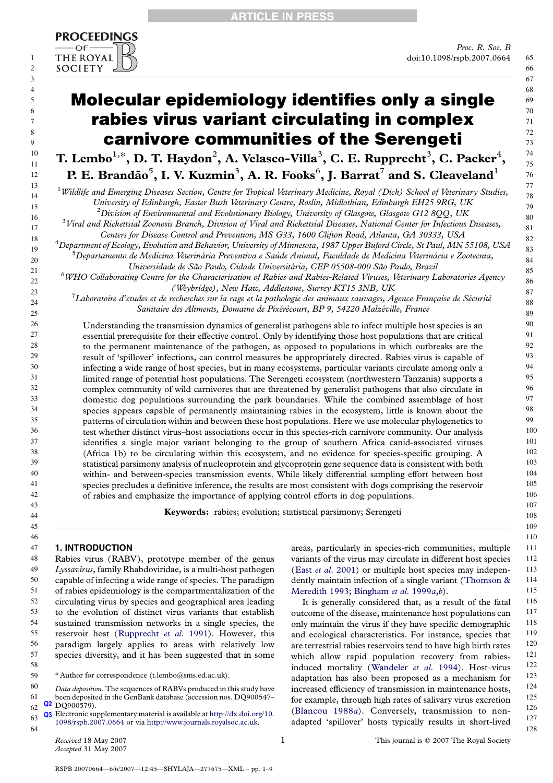# Molecular epidemiology identifies only a single rabies virus variant circulating in complex carnivore communities of the Serengeti

T. Lembo $^{1,*}$ , D. T. Haydon $^2$ , A. Velasco-Villa $^3$ , C. E. Rupprecht $^3$ , C. Packer $^4$ , P. E. Brandão $^5$ , I. V. Kuzmin $^3$ , A. R. Fooks $^6$ , J. Barrat $^7$  and S. Cleaveland $^1$ 

<sup>1</sup> Wildlife and Emerging Diseases Section, Centre for Tropical Veterinary Medicine, Royal (Dick) School of Veterinary Studies, University of Edinburgh, Easter Bush Veterinary Centre, Roslin, Midlothian, Edinburgh EH25 9RG, UK

<sup>2</sup> Division of Environmental and Evolutionary Biology, University of Glasgow, Glasgow G12 8QQ, UK<br><sup>3</sup> Virol and Pichatteral Zeonosis Pranch, Division of Virol and Pichatteral Diseases, Mational Center for Infectious Viral and Rickettsial Zoonosis Branch, Division of Viral and Rickettsial Diseases, National Center for Infectious Diseases,

Centers for Disease Control and Prevention, MS G33, 1600 Clifton Road, Atlanta, GA 30333, USA

 $^4$ Department of Ecology, Evolution and Behavior, University of Minnesota, 1987 Upper Buford Circle, St Paul, MN 55108, USA

 $^5$ Departamento de Medicina Veterinária Preventiva e Saúde Animal, Faculdade de Medicina Veterinária e Zootecnia,

Universidade de São Paulo, Cidade Universitária, CEP 05508-000 São Paulo, Brazil

<sup>6</sup>WHO Collaborating Centre for the Characterisation of Rabies and Rabies-Related Viruses, Veterinary Laboratories Agency

 $L^7$ Laboratoire d'etudes et de recherches sur la rage et la pathologie des animaux sauvages, Agence Française de Sécurité Sanitaire des Aliments, Domaine de Pixérécourt, BP 9, 54220 Malzéville, France

Understanding the transmission dynamics of generalist pathogens able to infect multiple host species is an essential prerequisite for their effective control. Only by identifying those host populations that are critical to the permanent maintenance of the pathogen, as opposed to populations in which outbreaks are the result of 'spillover' infections, can control measures be appropriately directed. Rabies virus is capable of infecting a wide range of host species, but in many ecosystems, particular variants circulate among only a limited range of potential host populations. The Serengeti ecosystem (northwestern Tanzania) supports a complex community of wild carnivores that are threatened by generalist pathogens that also circulate in domestic dog populations surrounding the park boundaries. While the combined assemblage of host species appears capable of permanently maintaining rabies in the ecosystem, little is known about the patterns of circulation within and between these host populations. Here we use molecular phylogenetics to test whether distinct virus–host associations occur in this species-rich carnivore community. Our analysis identifies a single major variant belonging to the group of southern Africa canid-associated viruses (Africa 1b) to be circulating within this ecosystem, and no evidence for species-specific grouping. A statistical parsimony analysis of nucleoprotein and glycoprotein gene sequence data is consistent with both within- and between-species transmission events. While likely differential sampling effort between host species precludes a definitive inference, the results are most consistent with dogs comprising the reservoir of rabies and emphasize the importance of applying control efforts in dog populations.

Keywords: rabies; evolution; statistical parsimony; Serengeti

## 1. INTRODUCTION

Rabies virus (RABV), prototype member of the genus Lyssavirus, family Rhabdoviridae, is a multi-host pathogen capable of infecting a wide range of species. The paradigm of rabies epidemiology is the compartmentalization of the circulating virus by species and geographical area leading to the evolution of distinct virus variants that establish sustained transmission networks in a single species, the reservoir host ([Rupprecht](#page-7-0) et al. 1991). However, this paradigm largely applies to areas with relatively low species diversity, and it has been suggested that in some 

\* Author for correspondence (t.lembo@sms.ed.ac.uk). 

Q<sub>2</sub> DQ900579). Data deposition. The sequences of RABVs produced in this study have been deposited in the GenBank database (accession nos. DQ900547– 

Q3 Electronic supplementary material is available at [http://dx.doi.org/10.](http://dx.doi.org/10.1098/rspb.2007.0664) [1098/rspb.2007.0664](http://dx.doi.org/10.1098/rspb.2007.0664) or via <http://www.journals.royalsoc.ac.uk>. 

areas, particularly in species-rich communities, multiple variants of the virus may circulate in different host species (East *et al.* 2001) or multiple host species may independently maintain infection of a single variant ([Thomson &](#page-7-0) [Meredith 1993](#page-7-0); [Bingham](#page-6-0) et al. 1999a,[b](#page-6-0)).

It is generally considered that, as a result of the fatal outcome of the disease, maintenance host populations can only maintain the virus if they have specific demographic and ecological characteristics. For instance, species that are terrestrial rabies reservoirs tend to have high birth rates which allow rapid population recovery from rabiesinduced mortality ([Wandeler](#page-7-0) et al. 1994). Host–virus adaptation has also been proposed as a mechanism for increased efficiency of transmission in maintenance hosts, for example, through high rates of salivary virus excretion ([Blancou 1988](#page-6-0)a). Conversely, transmission to nonadapted 'spillover' hosts typically results in short-lived 

 

Received 18 May 2007

Accepted 31 May 2007

<sup>(</sup>Weybridge), New Haw, Addlestone, Surrey KT15 3NB, UK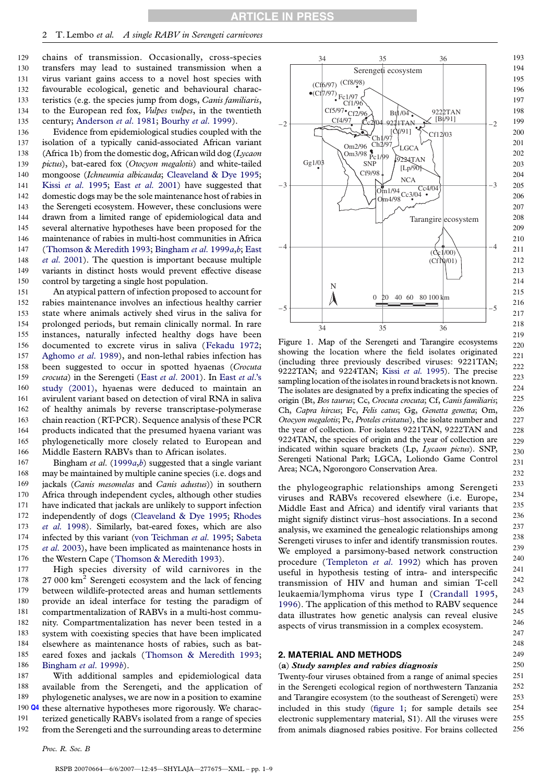### 2 T. Lembo et al. A single RABV in Serengeti carnivores

chains of transmission. Occasionally, cross-species transfers may lead to sustained transmission when a virus variant gains access to a novel host species with favourable ecological, genetic and behavioural characteristics (e.g. the species jump from dogs, Canis familiaris, to the European red fox, Vulpes vulpes, in the twentieth century; [Anderson](#page-6-0) et al. 1981; [Bourhy](#page-6-0) et al. 1999). 129 130 131 132 133 134 135

Evidence from epidemiological studies coupled with the isolation of a typically canid-associated African variant (Africa 1b) from the domestic dog, African wild dog (Lycaon pictus), bat-eared fox (Otocyon megalotis) and white-tailed mongoose (Ichneumia albicauda; [Cleaveland & Dye 1995;](#page-6-0) Kissi et al[. 1995](#page-6-0); East et al[. 2001\)](#page-6-0) have suggested that domestic dogs may be the sole maintenance host of rabies in the Serengeti ecosystem. However, these conclusions were drawn from a limited range of epidemiological data and several alternative hypotheses have been proposed for the maintenance of rabies in multi-host communities in Africa ([Thomson & Meredith 1993;](#page-7-0) [Bingham](#page-6-0) et al. 1999a,[b](#page-6-0); [East](#page-6-0) et al[. 2001](#page-6-0)). The question is important because multiple variants in distinct hosts would prevent effective disease control by targeting a single host population. 136 137 138 139 140 141 142 143 144 145 146 147 148 149 150

An atypical pattern of infection proposed to account for rabies maintenance involves an infectious healthy carrier state where animals actively shed virus in the saliva for prolonged periods, but remain clinically normal. In rare instances, naturally infected healthy dogs have been documented to excrete virus in saliva ([Fekadu 1972;](#page-6-0) [Aghomo](#page-6-0) et al. 1989), and non-lethal rabies infection has been suggested to occur in spotted hyaenas (Crocuta crocuta) in the Serengeti (East et al[. 2001](#page-6-0)). In [East](#page-6-0) et al.'s [study \(2001\),](#page-6-0) hyaenas were deduced to maintain an avirulent variant based on detection of viral RNA in saliva of healthy animals by reverse transcriptase-polymerase chain reaction (RT-PCR). Sequence analysis of these PCR products indicated that the presumed hyaena variant was phylogenetically more closely related to European and Middle Eastern RABVs than to African isolates. 151 152 153 154 155 156 157 158 159 160 161 162 163 164 165 166

Bingham et al. ([1999](#page-6-0)a,[b](#page-6-0)) suggested that a single variant may be maintained by multiple canine species (i.e. dogs and jackals (Canis mesomelas and Canis adustus)) in southern Africa through independent cycles, although other studies have indicated that jackals are unlikely to support infection independently of dogs [\(Cleaveland & Dye 1995;](#page-6-0) [Rhodes](#page-6-0) et al[. 1998](#page-6-0)). Similarly, bat-eared foxes, which are also infected by this variant [\(von Teichman](#page-7-0) et al. 1995; [Sabeta](#page-7-0) et al[. 2003](#page-7-0)), have been implicated as maintenance hosts in the Western Cape ([Thomson & Meredith 1993](#page-7-0)). 167 168 169 170 171 172 173 174 175 176

High species diversity of wild carnivores in the  $27000 \text{ km}^2$  Serengeti ecosystem and the lack of fencing between wildlife-protected areas and human settlements provide an ideal interface for testing the paradigm of compartmentalization of RABVs in a multi-host community. Compartmentalization has never been tested in a system with coexisting species that have been implicated elsewhere as maintenance hosts of rabies, such as bateared foxes and jackals ([Thomson & Meredith 1993;](#page-7-0) [Bingham](#page-6-0) et al. 1999b). 177 178 179 180 181 182 183 184 185 186

With additional samples and epidemiological data available from the Serengeti, and the application of phylogenetic analyses, we are now in a position to examine 190 **Q4** these alternative hypotheses more rigorously. We characterized genetically RABVs isolated from a range of species from the Serengeti and the surrounding areas to determine 187 188 189 191 192

RSPB 20070664—6/6/2007—12:45—SHYLAJA—277675—XML – pp. 1–9



Figure 1. Map of the Serengeti and Tarangire ecosystems showing the location where the field isolates originated (including three previously described viruses: 9221TAN; 9222TAN; and 9224TAN; Kissi et al[. 1995](#page-6-0)). The precise sampling location of the isolates in round brackets is not known. The isolates are designated by a prefix indicating the species of origin (Bt, Bos taurus; Cc, Crocuta crocuta; Cf, Canis familiaris; Ch, Capra hircus; Fc, Felis catus; Gg, Genetta genetta; Om, Otocyon megalotis; Pc, Proteles cristatus), the isolate number and the year of collection. For isolates 9221TAN, 9222TAN and 9224TAN, the species of origin and the year of collection are indicated within square brackets (Lp, Lycaon pictus). SNP, Serengeti National Park; LGCA, Loliondo Game Control Area; NCA, Ngorongoro Conservation Area.

the phylogeographic relationships among Serengeti viruses and RABVs recovered elsewhere (i.e. Europe, Middle East and Africa) and identify viral variants that might signify distinct virus–host associations. In a second analysis, we examined the genealogic relationships among Serengeti viruses to infer and identify transmission routes. We employed a parsimony-based network construction procedure ([Templeton](#page-7-0) et al. 1992) which has proven useful in hypothesis testing of intra- and interspecific transmission of HIV and human and simian T-cell leukaemia/lymphoma virus type I ([Crandall 1995,](#page-6-0) [1996](#page-6-0)). The application of this method to RABV sequence data illustrates how genetic analysis can reveal elusive aspects of virus transmission in a complex ecosystem.

### 2. MATERIAL AND METHODS

### (a) Study samples and rabies diagnosis

Twenty-four viruses obtained from a range of animal species in the Serengeti ecological region of northwestern Tanzania and Tarangire ecosystem (to the southeast of Serengeti) were included in this study (figure 1; for sample details see electronic supplementary material, S1). All the viruses were from animals diagnosed rabies positive. For brains collected 251 252 253 254 255 256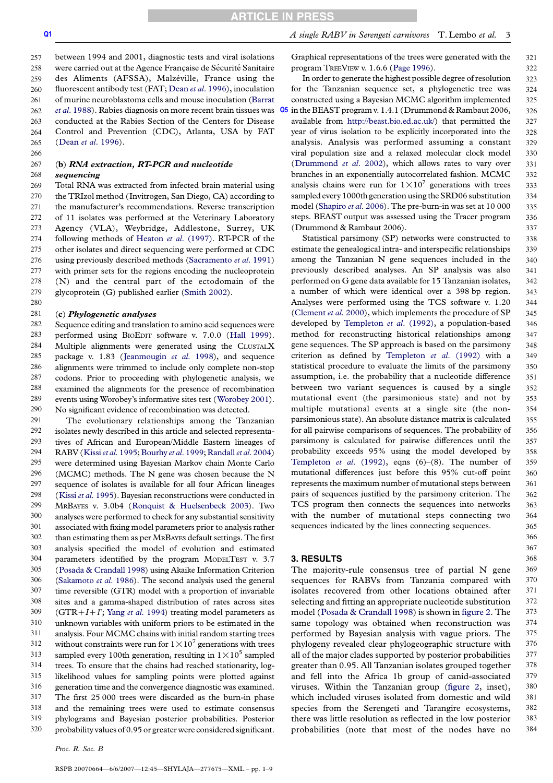ARTICLE IN PRESS

between 1994 and 2001, diagnostic tests and viral isolations were carried out at the Agence Française de Sécurité Sanitaire des Aliments (AFSSA), Malzéville, France using the fluorescent antibody test (FAT; Dean et al[. 1996\)](#page-6-0), inoculation of murine neuroblastoma cells and mouse inoculation ([Barrat](#page-6-0) et al[. 1988](#page-6-0)). Rabies diagnosis on more recent brain tissues was conducted at the Rabies Section of the Centers for Disease Control and Prevention (CDC), Atlanta, USA by FAT (Dean et al[. 1996](#page-6-0)). 257 258 259 260 261 262 263 264 265

#### (b) RNA extraction, RT-PCR and nucleotide 267

#### sequencing 268

266

280

Total RNA was extracted from infected brain material using the TRIzol method (Invitrogen, San Diego, CA) according to the manufacturer's recommendations. Reverse transcription of 11 isolates was performed at the Veterinary Laboratory Agency (VLA), Weybridge, Addlestone, Surrey, UK following methods of Heaton et al[. \(1997\).](#page-6-0) RT-PCR of the other isolates and direct sequencing were performed at CDC using previously described methods [\(Sacramento](#page-7-0) et al. 1991) with primer sets for the regions encoding the nucleoprotein (N) and the central part of the ectodomain of the glycoprotein (G) published earlier [\(Smith 2002](#page-7-0)). 269 270 271 272 273 274 275 276 277 278 279

#### (c) Phylogenetic analyses 281

Sequence editing and translation to amino acid sequences were performed using BIOEDIT software v. 7.0.0 ([Hall 1999](#page-6-0)). Multiple alignments were generated using the CLUSTALX package v. 1.83 ([Jeanmougin](#page-6-0) et al. 1998), and sequence alignments were trimmed to include only complete non-stop codons. Prior to proceeding with phylogenetic analysis, we examined the alignments for the presence of recombination events using Worobey's informative sites test ([Worobey 2001](#page-7-0)). No significant evidence of recombination was detected. 282 283 284 285 286 287 288 289 290

The evolutionary relationships among the Tanzanian isolates newly described in this article and selected representatives of African and European/Middle Eastern lineages of RABV (Kissi et al. 1995; Bourhy et al. 1999; [Randall](#page-6-0) et al. 2004) were determined using Bayesian Markov chain Monte Carlo (MCMC) methods. The N gene was chosen because the N sequence of isolates is available for all four African lineages (Kissi et al[. 1995](#page-6-0)). Bayesian reconstructions were conducted in MRBAYES v. 3.0b4 ([Ronquist & Huelsenbeck 2003](#page-6-0)). Two analyses were performed to check for any substantial sensitivity associated with fixing model parameters prior to analysis rather than estimating them as per MRBAYES default settings. The first analysis specified the model of evolution and estimated parameters identified by the program MODELTEST v. 3.7 ([Posada & Crandall 1998](#page-6-0)) using Akaike Information Criterion ([Sakamoto](#page-7-0) et al. 1986). The second analysis used the general time reversible (GTR) model with a proportion of invariable sites and a gamma-shaped distribution of rates across sites (GTR+ $I+T$ ; Yang et al[. 1994](#page-7-0)) treating model parameters as unknown variables with uniform priors to be estimated in the analysis. Four MCMC chains with initial random starting trees without constraints were run for  $1 \times 10^7$  generations with trees sampled every 100th generation, resulting in  $1 \times 10^5$  sampled trees. To ensure that the chains had reached stationarity, loglikelihood values for sampling points were plotted against generation time and the convergence diagnostic was examined. The first 25 000 trees were discarded as the burn-in phase and the remaining trees were used to estimate consensus phylograms and Bayesian posterior probabilities. Posterior probability values of 0.95 or greater were considered significant. 291 292 293 294 295 296 297 298 299 300 301 302 303 304 305 306 307 308 309 310 311 312 313 314 315 316 317 318 319 320

Graphical representations of the trees were generated with the program TREEVIEW v. 1.6.6 ([Page 1996\)](#page-6-0).

321 322

366 367 368

In order to generate the highest possible degree of resolution for the Tanzanian sequence set, a phylogenetic tree was constructed using a Bayesian MCMC algorithm implemented Q5 in the BEAST program v. 1.4.1 (Drummond & Rambaut 2006, available from [http://beast.bio.ed.ac.uk/\)](http://beast.bio.ed.ac.uk/) that permitted the year of virus isolation to be explicitly incorporated into the analysis. Analysis was performed assuming a constant viral population size and a relaxed molecular clock model ([Drummond](#page-6-0) et al. 2002), which allows rates to vary over branches in an exponentially autocorrelated fashion. MCMC analysis chains were run for  $1 \times 10^7$  generations with trees sampled every 1000th generation using the SRD06 substitution model ([Shapiro](#page-7-0) et al. 2006). The pre-burn-in was set at 10 000 steps. BEAST output was assessed using the Tracer program (Drummond & Rambaut 2006). 323 324 325 326 327 328 329 330 331 332 333 334 335 336 337

Statistical parsimony (SP) networks were constructed to estimate the genealogical intra- and interspecific relationships among the Tanzanian N gene sequences included in the previously described analyses. An SP analysis was also performed on G gene data available for 15 Tanzanian isolates, a number of which were identical over a 398 bp region. Analyses were performed using the TCS software v. 1.20 ([Clement](#page-6-0) et al. 2000), which implements the procedure of SP developed by [Templeton](#page-7-0) et al. (1992), a population-based method for reconstructing historical relationships among gene sequences. The SP approach is based on the parsimony criterion as defined by [Templeton](#page-7-0) et al. (1992) with a statistical procedure to evaluate the limits of the parsimony assumption, i.e. the probability that a nucleotide difference between two variant sequences is caused by a single mutational event (the parsimonious state) and not by multiple mutational events at a single site (the nonparsimonious state). An absolute distance matrix is calculated for all pairwise comparisons of sequences. The probability of parsimony is calculated for pairwise differences until the probability exceeds 95% using the model developed by [Templeton](#page-7-0) et al. (1992), eqns  $(6)$ – $(8)$ . The number of mutational differences just before this 95% cut-off point represents the maximum number of mutational steps between pairs of sequences justified by the parsimony criterion. The TCS program then connects the sequences into networks with the number of mutational steps connecting two sequences indicated by the lines connecting sequences. 338 339 340 341 342 343 344 345 346 347 348 349 350 351 352 353 354 355 356 357 358 359 360 361 362 363 364 365

#### 3. RESULTS

The majority-rule consensus tree of partial N gene sequences for RABVs from Tanzania compared with isolates recovered from other locations obtained after selecting and fitting an appropriate nucleotide substitution model ([Posada & Crandall 1998\)](#page-6-0) is shown in [figure 2.](#page-3-0) The same topology was obtained when reconstruction was performed by Bayesian analysis with vague priors. The phylogeny revealed clear phylogeographic structure with all of the major clades supported by posterior probabilities greater than 0.95. All Tanzanian isolates grouped together and fell into the Africa 1b group of canid-associated viruses. Within the Tanzanian group ([figure 2,](#page-3-0) inset), which included viruses isolated from domestic and wild species from the Serengeti and Tarangire ecosystems, there was little resolution as reflected in the low posterior probabilities (note that most of the nodes have no 369 370 371 372 373 374 375 376 377 378 379 380 381 382 383 384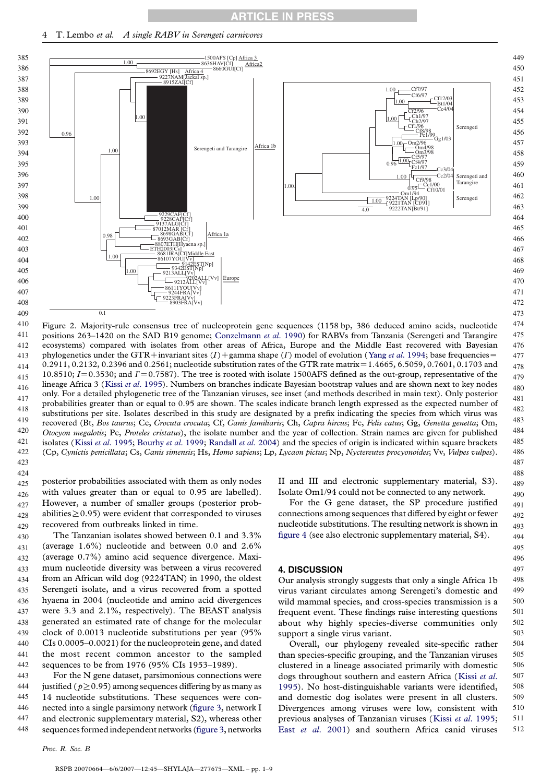ARTICLE IN PRESS



<span id="page-3-0"></span>

Figure 2. Majority-rule consensus tree of nucleoprotein gene sequences (1158 bp, 386 deduced amino acids, nucleotide positions 263–1420 on the SAD B19 genome; [Conzelmann](#page-6-0) et al. 1990) for RABVs from Tanzania (Serengeti and Tarangire ecosystems) compared with isolates from other areas of Africa, Europe and the Middle East recovered with Bayesian phylogenetics under the GTR+invariant sites (I)+gamma shape (I) model of evolution (Yang *et al.* 1994; base frequencies=  $0.2911, 0.2132, 0.2396$  and  $0.2561$ ; nucleotide substitution rates of the GTR rate matrix = 1.4665, 6.5059, 0.7601, 0.1703 and 10.8510;  $I=0.3530$ ; and  $I=0.7587$ ). The tree is rooted with isolate 1500AFS defined as the out-group, representative of the lineage Africa 3 (Kissi et al[. 1995\)](#page-6-0). Numbers on branches indicate Bayesian bootstrap values and are shown next to key nodes only. For a detailed phylogenetic tree of the Tanzanian viruses, see inset (and methods described in main text). Only posterior probabilities greater than or equal to 0.95 are shown. The scales indicate branch length expressed as the expected number of substitutions per site. Isolates described in this study are designated by a prefix indicating the species from which virus was recovered (Bt, Bos taurus; Cc, Crocuta crocuta; Cf, Canis familiaris; Ch, Capra hircus; Fc, Felis catus; Gg, Genetta genetta; Om, Otocyon megalotis; Pc, Proteles cristatus), the isolate number and the year of collection. Strain names are given for published isolates (Kissi et al[. 1995;](#page-6-0) [Bourhy](#page-6-0) et al. 1999; [Randall](#page-6-0) et al. 2004) and the species of origin is indicated within square brackets (Cp, Cynictis penicillata; Cs, Canis simensis; Hs, Homo sapiens; Lp, Lycaon pictus; Np, Nyctereutes procyonoides; Vv, Vulpes vulpes). 410 411 412 413 414 415 416 417 418 419 420 421 422 423

posterior probabilities associated with them as only nodes with values greater than or equal to 0.95 are labelled). However, a number of smaller groups (posterior probabilities $\geq$ 0.95) were evident that corresponded to viruses recovered from outbreaks linked in time. 425 426 427 428 429

The Tanzanian isolates showed between 0.1 and 3.3% (average 1.6%) nucleotide and between 0.0 and 2.6% (average 0.7%) amino acid sequence divergence. Maximum nucleotide diversity was between a virus recovered from an African wild dog (9224TAN) in 1990, the oldest Serengeti isolate, and a virus recovered from a spotted hyaena in 2004 (nucleotide and amino acid divergences were 3.3 and 2.1%, respectively). The BEAST analysis generated an estimated rate of change for the molecular clock of 0.0013 nucleotide substitutions per year (95% CIs 0.0005–0.0021) for the nucleoprotein gene, and dated the most recent common ancestor to the sampled sequences to be from 1976 (95% CIs 1953–1989). 430 431 432 433 434 435 436 437 438 439 440 441 442

For the N gene dataset, parsimonious connections were justified ( $p \ge 0.95$ ) among sequences differing by as many as 14 nucleotide substitutions. These sequences were connected into a single parsimony network [\(figure 3,](#page-4-0) network I and electronic supplementary material, S2), whereas other sequences formed independent networks [\(figure 3,](#page-4-0) networks 443 444 445 446 447 448

424

RSPB 20070664—6/6/2007—12:45—SHYLAJA—277675—XML – pp. 1–9

II and III and electronic supplementary material, S3). Isolate Om1/94 could not be connected to any network.

For the G gene dataset, the SP procedure justified connections among sequences that differed by eight or fewer nucleotide substitutions. The resulting network is shown in [figure 4](#page-4-0) (see also electronic supplementary material, S4).

#### 4. DISCUSSION

Our analysis strongly suggests that only a single Africa 1b virus variant circulates among Serengeti's domestic and wild mammal species, and cross-species transmission is a frequent event. These findings raise interesting questions about why highly species-diverse communities only support a single virus variant.

Overall, our phylogeny revealed site-specific rather than species-specific grouping, and the Tanzanian viruses clustered in a lineage associated primarily with domestic dogs throughout southern and eastern Africa ([Kissi](#page-6-0) et al. [1995](#page-6-0)). No host-distinguishable variants were identified, and domestic dog isolates were present in all clusters. Divergences among viruses were low, consistent with previous analyses of Tanzanian viruses (Kissi et al[. 1995;](#page-6-0) East et al[. 2001](#page-6-0)) and southern Africa canid viruses 504 505 506 507 508 509 510 511 512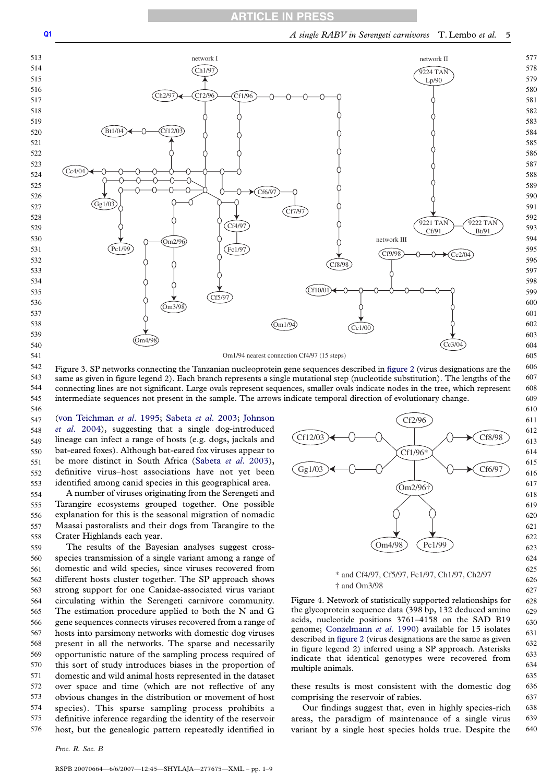546

<span id="page-4-0"></span>

Figure 3. SP networks connecting the Tanzanian nucleoprotein gene sequences described in [figure 2](#page-3-0) (virus designations are the same as given in figure legend 2). Each branch represents a single mutational step (nucleotide substitution). The lengths of the connecting lines are not significant. Large ovals represent sequences, smaller ovals indicate nodes in the tree, which represent intermediate sequences not present in the sample. The arrows indicate temporal direction of evolutionary change. 542 543 544 545

([von Teichman](#page-7-0) et al. 1995; Sabeta et al[. 2003](#page-7-0); [Johnson](#page-6-0) et al[. 2004\)](#page-6-0), suggesting that a single dog-introduced lineage can infect a range of hosts (e.g. dogs, jackals and bat-eared foxes). Although bat-eared fox viruses appear to be more distinct in South Africa (Sabeta et al[. 2003\)](#page-7-0), definitive virus–host associations have not yet been identified among canid species in this geographical area. 547 548 549 550 551 552 553

A number of viruses originating from the Serengeti and Tarangire ecosystems grouped together. One possible explanation for this is the seasonal migration of nomadic Maasai pastoralists and their dogs from Tarangire to the Crater Highlands each year. 554 555 556 557 558

The results of the Bayesian analyses suggest crossspecies transmission of a single variant among a range of domestic and wild species, since viruses recovered from different hosts cluster together. The SP approach shows strong support for one Canidae-associated virus variant circulating within the Serengeti carnivore community. The estimation procedure applied to both the N and G gene sequences connects viruses recovered from a range of hosts into parsimony networks with domestic dog viruses present in all the networks. The sparse and necessarily opportunistic nature of the sampling process required of this sort of study introduces biases in the proportion of domestic and wild animal hosts represented in the dataset over space and time (which are not reflective of any obvious changes in the distribution or movement of host species). This sparse sampling process prohibits a definitive inference regarding the identity of the reservoir host, but the genealogic pattern repeatedly identified in 559 560 561 562 563 564 565 566 567 568 569 570 571 572 573 574 575 576





607 608 609

### \* and Cf4/97, Cf5/97, Fc1/97, Ch1/97, Ch2/97 † and Om3/98

Figure 4. Network of statistically supported relationships for the glycoprotein sequence data (398 bp, 132 deduced amino acids, nucleotide positions 3761–4158 on the SAD B19 genome; [Conzelmann](#page-6-0) et al. 1990) available for 15 isolates described in [figure 2](#page-3-0) (virus designations are the same as given in figure legend 2) inferred using a SP approach. Asterisks indicate that identical genotypes were recovered from multiple animals.

these results is most consistent with the domestic dog comprising the reservoir of rabies.

Our findings suggest that, even in highly species-rich areas, the paradigm of maintenance of a single virus variant by a single host species holds true. Despite the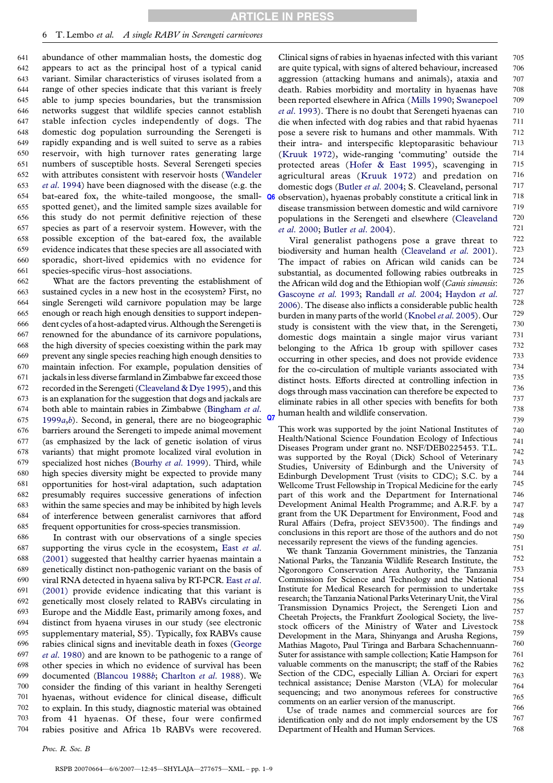ARTICLE IN PRESS

### 6 T. Lembo et al. A single RABV in Serengeti carnivores

abundance of other mammalian hosts, the domestic dog appears to act as the principal host of a typical canid variant. Similar characteristics of viruses isolated from a range of other species indicate that this variant is freely able to jump species boundaries, but the transmission networks suggest that wildlife species cannot establish stable infection cycles independently of dogs. The domestic dog population surrounding the Serengeti is rapidly expanding and is well suited to serve as a rabies reservoir, with high turnover rates generating large numbers of susceptible hosts. Several Serengeti species with attributes consistent with reservoir hosts ([Wandeler](#page-7-0) et al[. 1994\)](#page-7-0) have been diagnosed with the disease (e.g. the bat-eared fox, the white-tailed mongoose, the small- Q6 spotted genet), and the limited sample sizes available for this study do not permit definitive rejection of these species as part of a reservoir system. However, with the possible exception of the bat-eared fox, the available evidence indicates that these species are all associated with sporadic, short-lived epidemics with no evidence for species-specific virus–host associations. 641 642 643 644 645 646 647 648 649 650 651 652 653 654 655 656 657 658 659 660 661

What are the factors preventing the establishment of sustained cycles in a new host in the ecosystem? First, no single Serengeti wild carnivore population may be large enough or reach high enough densities to support independent cycles of a host-adapted virus. Although the Serengeti is renowned for the abundance of its carnivore populations, the high diversity of species coexisting within the park may prevent any single species reaching high enough densities to maintain infection. For example, population densities of jackals in less diverse farmland in Zimbabwe far exceed those recorded in the Serengeti ([Cleaveland & Dye 1995](#page-6-0)), and this is an explanation for the suggestion that dogs and jackals are both able to maintain rabies in Zimbabwe ([Bingham](#page-6-0) et al. [1999](#page-6-0) $a$ , $b$ ). Second, in general, there are no biogeographic  $27$ barriers around the Serengeti to impede animal movement (as emphasized by the lack of genetic isolation of virus variants) that might promote localized viral evolution in specialized host niches ([Bourhy](#page-6-0) et al. 1999). Third, while high species diversity might be expected to provide many opportunities for host-viral adaptation, such adaptation presumably requires successive generations of infection within the same species and may be inhibited by high levels of interference between generalist carnivores that afford frequent opportunities for cross-species transmission. 662 663 664 665 666 667 668 669 670 671 672 673 674 675 676 677 678 679 680 681 682 683 684 685

In contrast with our observations of a single species supporting the virus cycle in the ecosystem, East [et al](#page-6-0). [\(2001\)](#page-6-0) suggested that healthy carrier hyaenas maintain a genetically distinct non-pathogenic variant on the basis of viral RNA detected in hyaena saliva by RT-PCR. [East](#page-6-0) et al. [\(2001\)](#page-6-0) provide evidence indicating that this variant is genetically most closely related to RABVs circulating in Europe and the Middle East, primarily among foxes, and distinct from hyaena viruses in our study (see electronic supplementary material, S5). Typically, fox RABVs cause rabies clinical signs and inevitable death in foxes [\(George](#page-6-0) et al[. 1980](#page-6-0)) and are known to be pathogenic to a range of other species in which no evidence of survival has been documented [\(Blancou 1988](#page-6-0)b; [Charlton](#page-6-0) et al. 1988). We consider the finding of this variant in healthy Serengeti hyaenas, without evidence for clinical disease, difficult to explain. In this study, diagnostic material was obtained from 41 hyaenas. Of these, four were confirmed rabies positive and Africa 1b RABVs were recovered. 686 687 688 689 690 691 692 693 694 695 696 697 698 699 700 701 702 703 704

Clinical signs of rabies in hyaenas infected with this variant are quite typical, with signs of altered behaviour, increased aggression (attacking humans and animals), ataxia and death. Rabies morbidity and mortality in hyaenas have been reported elsewhere in Africa ([Mills 1990](#page-6-0); [Swanepoel](#page-7-0) et al[. 1993\)](#page-7-0). There is no doubt that Serengeti hyaenas can die when infected with dog rabies and that rabid hyaenas pose a severe risk to humans and other mammals. With their intra- and interspecific kleptoparasitic behaviour ([Kruuk 1972](#page-6-0)), wide-ranging 'commuting' outside the protected areas ([Hofer & East 1995](#page-6-0)), scavenging in agricultural areas ([Kruuk 1972\)](#page-6-0) and predation on domestic dogs (Butler et al[. 2004;](#page-6-0) S. Cleaveland, personal observation), hyaenas probably constitute a critical link in disease transmission between domestic and wild carnivore populations in the Serengeti and elsewhere ([Cleaveland](#page-6-0) et al[. 2000](#page-6-0); Butler et al[. 2004](#page-6-0)). 705 706 707 708 709 710 711 712 713 714 715 716 717 718 719 720 721

Viral generalist pathogens pose a grave threat to biodiversity and human health [\(Cleaveland](#page-6-0) et al. 2001). The impact of rabies on African wild canids can be substantial, as documented following rabies outbreaks in the African wild dog and the Ethiopian wolf (Canis simensis: [Gascoyne](#page-6-0) et al. 1993; [Randall](#page-6-0) et al. 2004; [Haydon](#page-6-0) et al. [2006\)](#page-6-0). The disease also inflicts a considerable public health burden in many parts of the world ([Knobel](#page-6-0) et al. 2005). Our study is consistent with the view that, in the Serengeti, domestic dogs maintain a single major virus variant belonging to the Africa 1b group with spillover cases occurring in other species, and does not provide evidence for the co-circulation of multiple variants associated with distinct hosts. Efforts directed at controlling infection in dogs through mass vaccination can therefore be expected to eliminate rabies in all other species with benefits for both human health and wildlife conservation.

This work was supported by the joint National Institutes of Health/National Science Foundation Ecology of Infectious Diseases Program under grant no. NSF/DEB0225453. T.L. was supported by the Royal (Dick) School of Veterinary Studies, University of Edinburgh and the University of Edinburgh Development Trust (visits to CDC); S.C. by a Wellcome Trust Fellowship in Tropical Medicine for the early part of this work and the Department for International Development Animal Health Programme; and A.R.F. by a grant from the UK Department for Environment, Food and Rural Affairs (Defra, project SEV3500). The findings and conclusions in this report are those of the authors and do not necessarily represent the views of the funding agencies.

We thank Tanzania Government ministries, the Tanzania National Parks, the Tanzania Wildlife Research Institute, the Ngorongoro Conservation Area Authority, the Tanzania Commission for Science and Technology and the National Institute for Medical Research for permission to undertake research; the Tanzania National Parks Veterinary Unit, the Viral Transmission Dynamics Project, the Serengeti Lion and Cheetah Projects, the Frankfurt Zoological Society, the livestock officers of the Ministry of Water and Livestock Development in the Mara, Shinyanga and Arusha Regions, Mathias Magoto, Paul Tiringa and Barbara Schachennuann-Suter for assistance with sample collection; Katie Hampson for valuable comments on the manuscript; the staff of the Rabies Section of the CDC, especially Lillian A. Orciari for expert technical assistance; Denise Marston (VLA) for molecular sequencing; and two anonymous referees for constructive comments on an earlier version of the manuscript. 751 752 753 754 755 756 757 758 759 760 761 762 763 764 765

Use of trade names and commercial sources are for identification only and do not imply endorsement by the US Department of Health and Human Services. 766 767 768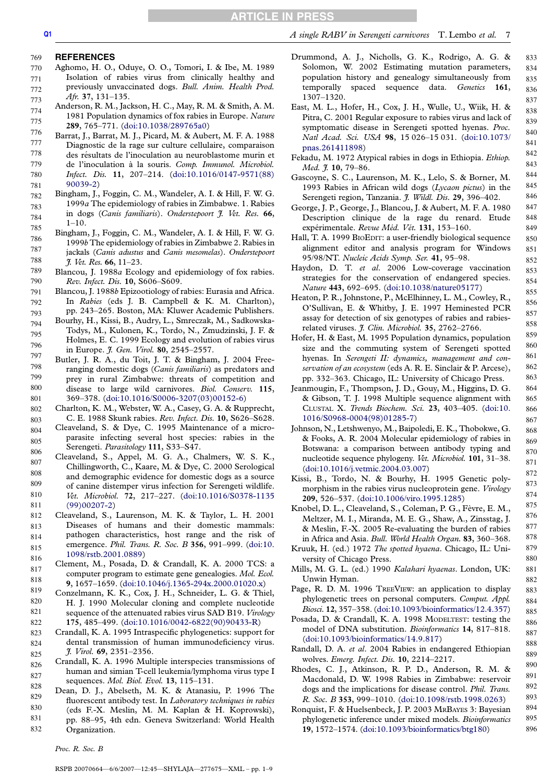### <span id="page-6-0"></span>Q1 A single RABV in Serengeti carnivores T. Lembo et al. 7

#### **REFERENCES** 769

- Aghomo, H. O., Oduye, O. O., Tomori, I. & Ibe, M. 1989 Isolation of rabies virus from clinically healthy and previously unvaccinated dogs. Bull. Anim. Health Prod. Afr. 37, 131–135. 770 771 772 773
- Anderson, R. M., Jackson, H. C., May, R. M. & Smith, A. M. 1981 Population dynamics of fox rabies in Europe. Nature 289, 765–771. [\(doi:10.1038/289765a0](http://dx.doi.org/doi:10.1038/289765a0)) 774 775
- Barrat, J., Barrat, M. J., Picard, M. & Aubert, M. F. A. 1988 Diagnostic de la rage sur culture cellulaire, comparaison 776 777
- des résultats de l'inoculation au neuroblastome murin et de l'inoculation à la souris. Comp. Immunol. Microbiol. 778 779
- Infect. Dis. 11, 207–214. ([doi:10.1016/0147-9571\(88\)](http://dx.doi.org/doi:10.1016/0147-9571(88)90039-2) [90039-2](http://dx.doi.org/doi:10.1016/0147-9571(88)90039-2)) 780 781
- Bingham, J., Foggin, C. M., Wandeler, A. I. & Hill, F. W. G. 1999a The epidemiology of rabies in Zimbabwe. 1. Rabies in dogs (Canis familiaris). Onderstepoort J. Vet. Res. 66,  $1 - 10$ . 782 783 784 785
- Bingham, J., Foggin, C. M., Wandeler, A. I. & Hill, F. W. G. 1999b The epidemiology of rabies in Zimbabwe 2. Rabies in jackals (Canis adustus and Canis mesomelas). Onderstepoort J. Vet. Res. 66, 11–23. 786 787 788
- Blancou, J. 1988a Ecology and epidemiology of fox rabies. Rev. Infect. Dis. 10, S606–S609. 789 790
- Blancou, J. 1988b Epizootiology of rabies: Eurasia and Africa. In Rabies (eds J. B. Campbell & K. M. Charlton), pp. 243–265. Boston, MA: Kluwer Academic Publishers. 791 792 793
- Bourhy, H., Kissi, B., Audry, L., Smreczak, M., Sadkowska-Todys, M., Kulonen, K., Tordo, N., Zmudzinski, J. F. & Holmes, E. C. 1999 Ecology and evolution of rabies virus 794 795 796
- in Europe. J. Gen. Virol. 80, 2545–2557. Butler, J. R. A., du Toit, J. T. & Bingham, J. 2004 Freeranging domestic dogs (Canis familiaris) as predators and prey in rural Zimbabwe: threats of competition and disease to large wild carnivores. Biol. Conserv. 115, 797 798 799 800

369–378. [\(doi:10.1016/S0006-3207\(03\)00152-6\)](http://dx.doi.org/doi:10.1016/S0006-3207(03)00152-6) Charlton, K. M., Webster, W. A., Casey, G. A. & Rupprecht, C. E. 1988 Skunk rabies. Rev. Infect. Dis. 10, S626–S628. 801 802 803

- Cleaveland, S. & Dye, C. 1995 Maintenance of a microparasite infecting several host species: rabies in the Serengeti. Parasitology 111, S33-S47. 804 805
- Cleaveland, S., Appel, M. G. A., Chalmers, W. S. K., Chillingworth, C., Kaare, M. & Dye, C. 2000 Serological and demographic evidence for domestic dogs as a source of canine distemper virus infection for Serengeti wildlife. Vet. Microbiol. 72, 217–227. [\(doi:10.1016/S0378-1135](http://dx.doi.org/doi:10.1016/S0378-1135(99)00207-2) [\(99\)00207-2\)](http://dx.doi.org/doi:10.1016/S0378-1135(99)00207-2) 806 807 808 809 810 811
- Cleaveland, S., Laurenson, M. K. & Taylor, L. H. 2001 Diseases of humans and their domestic mammals: pathogen characteristics, host range and the risk of emergence. Phil. Trans. R. Soc. B 356, 991-999. ([doi:10.](http://dx.doi.org/doi:10.1098/rstb.2001.0889) [1098/rstb.2001.0889](http://dx.doi.org/doi:10.1098/rstb.2001.0889)) 812 813 814 815 816
- Clement, M., Posada, D. & Crandall, K. A. 2000 TCS: a computer program to estimate gene genealogies. Mol. Ecol. 9, 1657–1659. [\(doi:10.1046/j.1365-294x.2000.01020.x\)](http://dx.doi.org/doi:10.1046/j.1365-294x.2000.01020.x) 817 818
- Conzelmann, K. K., Cox, J. H., Schneider, L. G. & Thiel, H. J. 1990 Molecular cloning and complete nucleotide sequence of the attenuated rabies virus SAD B19. Virology 175, 485–499. [\(doi:10.1016/0042-6822\(90\)90433-R](http://dx.doi.org/doi:10.1016/0042-6822(90)90433-R)) 819 820 821 822
- Crandall, K. A. 1995 Intraspecific phylogenetics: support for dental transmission of human immunodeficiency virus. J. Virol. 69, 2351–2356. 823 824 825
- Crandall, K. A. 1996 Multiple interspecies transmissions of human and simian T-cell leukemia/lymphoma virus type I sequences. Mol. Biol. Evol. 13, 115-131. 826 827 828
- Dean, D. J., Abelseth, M. K. & Atanasiu, P. 1996 The fluorescent antibody test. In Laboratory techniques in rabies (eds F.-X. Meslin, M. M. Kaplan & H. Koprowski), pp. 88–95, 4th edn. Geneva Switzerland: World Health 829 830 831
	- Organization.

832

Drummond, A. J., Nicholls, G. K., Rodrigo, A. G. & Solomon, W. 2002 Estimating mutation parameters, population history and genealogy simultaneously from temporally spaced sequence data. Genetics 161, 1307–1320.

- East, M. L., Hofer, H., Cox, J. H., Wulle, U., Wiik, H. & Pitra, C. 2001 Regular exposure to rabies virus and lack of symptomatic disease in Serengeti spotted hyenas. Proc. Natl Acad. Sci. USA 98, 15 026–15 031. ([doi:10.1073/](http://dx.doi.org/doi:10.1073/pnas.261411898) [pnas.261411898](http://dx.doi.org/doi:10.1073/pnas.261411898))
- Fekadu, M. 1972 Atypical rabies in dogs in Ethiopia. Ethiop. Med. 7. 10, 79-86.
- Gascoyne, S. C., Laurenson, M. K., Lelo, S. & Borner, M. 1993 Rabies in African wild dogs (Lycaon pictus) in the Serengeti region, Tanzania. J. Wildl. Dis. 29, 396-402.
- George, J. P., George, J., Blancou, J. & Aubert, M. F. A. 1980 Description clinique de la rage du renard. Etude expérimentale. Revue Méd. Vét. 131, 153-160.
- Hall, T. A. 1999 BIOEDIT: a user-friendly biological sequence alignment editor and analysis program for Windows 95/98/NT. Nucleic Acids Symp. Ser. 41, 95–98.
- Haydon, D. T. et al. 2006 Low-coverage vaccination strategies for the conservation of endangered species. Nature 443, 692–695. [\(doi:10.1038/nature05177\)](http://dx.doi.org/doi:10.1038/nature05177)
- Heaton, P. R., Johnstone, P., McElhinney, L. M., Cowley, R., O'Sullivan, E. & Whitby, J. E. 1997 Heminested PCR assay for detection of six genotypes of rabies and rabiesrelated viruses. *J. Clin. Microbiol.* 35, 2762-2766.
- Hofer, H. & East, M. 1995 Population dynamics, population size and the commuting system of Serengeti spotted hyenas. In Serengeti II: dynamics, management and conservation of an ecosystem (eds A. R. E. Sinclair & P. Arcese), pp. 332–363. Chicago, IL: University of Chicago Press.
- Jeanmougin, F., Thompson, J. D., Gouy, M., Higgins, D. G. & Gibson, T. J. 1998 Multiple sequence alignment with CLUSTAL X. Trends Biochem. Sci. 23, 403–405. ([doi:10.](http://dx.doi.org/doi:10.1016/S0968-0004(98)01285-7) [1016/S0968-0004\(98\)01285-7\)](http://dx.doi.org/doi:10.1016/S0968-0004(98)01285-7)
- Johnson, N., Letshwenyo, M., Baipoledi, E. K., Thobokwe, G. & Fooks, A. R. 2004 Molecular epidemiology of rabies in Botswana: a comparison between antibody typing and nucleotide sequence phylogeny. Vet. Microbiol. 101, 31–38. ([doi:10.1016/j.vetmic.2004.03.007\)](http://dx.doi.org/doi:10.1016/j.vetmic.2004.03.007)
- Kissi, B., Tordo, N. & Bourhy, H. 1995 Genetic polymorphism in the rabies virus nucleoprotein gene. *Virology* 209, 526–537. ([doi:10.1006/viro.1995.1285\)](http://dx.doi.org/doi:10.1006/viro.1995.1285)
- Knobel, D. L., Cleaveland, S., Coleman, P. G., Fèvre, E. M., Meltzer, M. I., Miranda, M. E. G., Shaw, A., Zinsstag, J. & Meslin, F.-X. 2005 Re-evaluating the burden of rabies in Africa and Asia. Bull. World Health Organ. 83, 360–368.
- Kruuk, H. (ed.) 1972 The spotted hyaena. Chicago, IL: University of Chicago Press.
- Mills, M. G. L. (ed.) 1990 Kalahari hyaenas. London, UK: Unwin Hyman.
- Page, R. D. M. 1996 TREEVIEW: an application to display phylogenetic trees on personal computers. Comput. Appl. Biosci. 12, 357–358. ([doi:10.1093/bioinformatics/12.4.357](http://dx.doi.org/doi:10.1093/bioinformatics/12.4.357))
- Posada, D. & Crandall, K. A. 1998 MODELTEST: testing the model of DNA substitution. *Bioinformatics* 14, 817-818. ([doi:10.1093/bioinformatics/14.9.817](http://dx.doi.org/doi:10.1093/bioinformatics/14.9.817))
- Randall, D. A. et al. 2004 Rabies in endangered Ethiopian wolves. Emerg. Infect. Dis. 10, 2214–2217.
- Rhodes, C. J., Atkinson, R. P. D., Anderson, R. M. & Macdonald, D. W. 1998 Rabies in Zimbabwe: reservoir dogs and the implications for disease control. Phil. Trans. R. Soc. B 353, 999–1010. ([doi:10.1098/rstb.1998.0263](http://dx.doi.org/doi:10.1098/rstb.1998.0263))
- Ronquist, F. & Huelsenbeck, J. P. 2003 MRBAYES 3: Bayesian phylogenetic inference under mixed models. Bioinformatics 19, 1572–1574. ([doi:10.1093/bioinformatics/btg180\)](http://dx.doi.org/doi:10.1093/bioinformatics/btg180)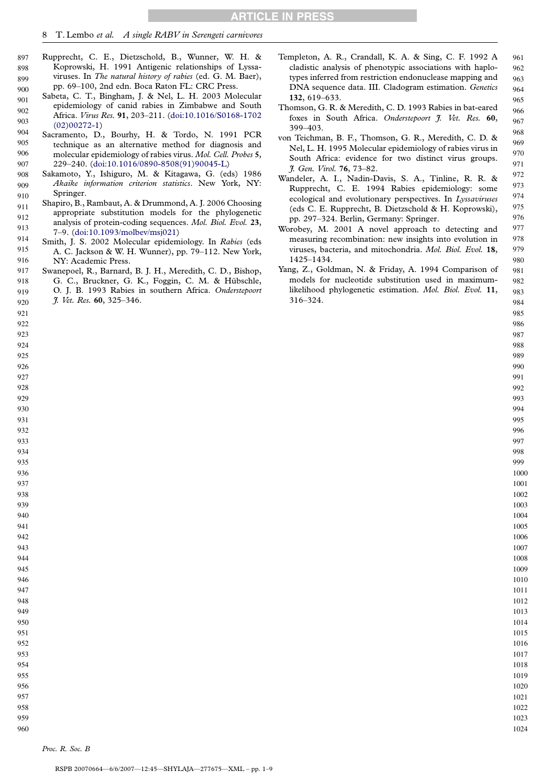- <span id="page-7-0"></span>Rupprecht, C. E., Dietzschold, B., Wunner, W. H. & Koprowski, H. 1991 Antigenic relationships of Lyssaviruses. In The natural history of rabies (ed. G. M. Baer), pp. 69–100, 2nd edn. Boca Raton FL: CRC Press.
- Sabeta, C. T., Bingham, J. & Nel, L. H. 2003 Molecular epidemiology of canid rabies in Zimbabwe and South Africa. Virus Res. 91, 203–211. [\(doi:10.1016/S0168-1702](http://dx.doi.org/doi:10.1016/S0168-1702(02)00272-1) [\(02\)00272-1](http://dx.doi.org/doi:10.1016/S0168-1702(02)00272-1))
- Sacramento, D., Bourhy, H. & Tordo, N. 1991 PCR technique as an alternative method for diagnosis and molecular epidemiology of rabies virus. Mol. Cell. Probes 5, 229–240. [\(doi:10.1016/0890-8508\(91\)90045-L\)](http://dx.doi.org/doi:10.1016/0890-8508(91)90045-L)
- Sakamoto, Y., Ishiguro, M. & Kitagawa, G. (eds) 1986 Akaike information criterion statistics. New York, NY: Springer.
- Shapiro, B., Rambaut, A. & Drummond, A. J. 2006 Choosing appropriate substitution models for the phylogenetic analysis of protein-coding sequences. Mol. Biol. Evol. 23, 7–9. [\(doi:10.1093/molbev/msj021\)](http://dx.doi.org/doi:10.1093/molbev/msj021)
- Smith, J. S. 2002 Molecular epidemiology. In Rabies (eds A. C. Jackson & W. H. Wunner), pp. 79–112. New York, NY: Academic Press.
- Swanepoel, R., Barnard, B. J. H., Meredith, C. D., Bishop, G. C., Bruckner, G. K., Foggin, C. M. & Hübschle, O. J. B. 1993 Rabies in southern Africa. Onderstepoort J. Vet. Res. 60, 325–346.

Templeton, A. R., Crandall, K. A. & Sing, C. F. 1992 A cladistic analysis of phenotypic associations with haplotypes inferred from restriction endonuclease mapping and DNA sequence data. III. Cladogram estimation. Genetics , 619–633.

- Thomson, G. R. & Meredith, C. D. 1993 Rabies in bat-eared foxes in South Africa. Onderstepoort J. Vet. Res. 60, 399–403.
- von Teichman, B. F., Thomson, G. R., Meredith, C. D. & Nel, L. H. 1995 Molecular epidemiology of rabies virus in South Africa: evidence for two distinct virus groups. J. Gen. Virol. 76, 73–82.
- Wandeler, A. I., Nadin-Davis, S. A., Tinline, R. R. & Rupprecht, C. E. 1994 Rabies epidemiology: some ecological and evolutionary perspectives. In Lyssaviruses (eds C. E. Rupprecht, B. Dietzschold & H. Koprowski), pp. 297–324. Berlin, Germany: Springer.
- Worobey, M. 2001 A novel approach to detecting and measuring recombination: new insights into evolution in viruses, bacteria, and mitochondria. Mol. Biol. Evol. 18, 1425–1434.
- Yang, Z., Goldman, N. & Friday, A. 1994 Comparison of models for nucleotide substitution used in maximumlikelihood phylogenetic estimation. Mol. Biol. Evol. 11, 316–324.